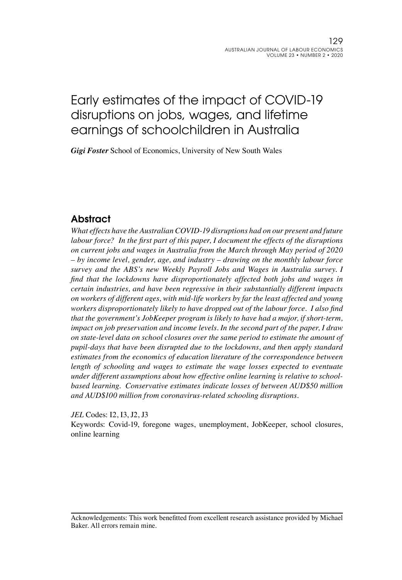# Early estimates of the impact of COVID-19 disruptions on jobs, wages, and lifetime earnings of schoolchildren in Australia

*Gigi Foster* School of Economics, University of New South Wales

## Abstract

*What effects have the Australian COVID-19 disruptions had on our present and future labour force? In the first part of this paper, I document the effects of the disruptions on current jobs and wages in Australia from the March through May period of 2020 – by income level, gender, age, and industry – drawing on the monthly labour force survey and the ABS's new Weekly Payroll Jobs and Wages in Australia survey. I find that the lockdowns have disproportionately affected both jobs and wages in certain industries, and have been regressive in their substantially different impacts on workers of different ages, with mid-life workers by far the least affected and young workers disproportionately likely to have dropped out of the labour force. I also find that the government's JobKeeper program is likely to have had a major, if short-term, impact on job preservation and income levels. In the second part of the paper, I draw on state-level data on school closures over the same period to estimate the amount of pupil-days that have been disrupted due to the lockdowns, and then apply standard estimates from the economics of education literature of the correspondence between*  length of schooling and wages to estimate the wage losses expected to eventuate *under different assumptions about how effective online learning is relative to schoolbased learning. Conservative estimates indicate losses of between AUD\$50 million and AUD\$100 million from coronavirus-related schooling disruptions.* 

*JEL* Codes: I2, I3, J2, J3

Keywords: Covid-19, foregone wages, unemployment, JobKeeper, school closures, online learning

Acknowledgements: This work benefitted from excellent research assistance provided by Michael Baker. All errors remain mine.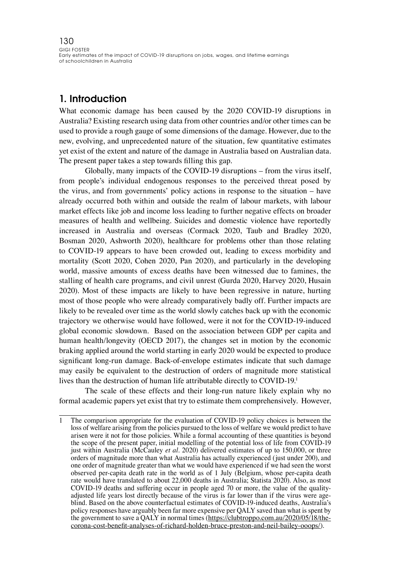### 1. Introduction

What economic damage has been caused by the 2020 COVID-19 disruptions in Australia? Existing research using data from other countries and/or other times can be used to provide a rough gauge of some dimensions of the damage. However, due to the new, evolving, and unprecedented nature of the situation, few quantitative estimates yet exist of the extent and nature of the damage in Australia based on Australian data. The present paper takes a step towards filling this gap.

Globally, many impacts of the COVID-19 disruptions – from the virus itself, from people's individual endogenous responses to the perceived threat posed by the virus, and from governments' policy actions in response to the situation – have already occurred both within and outside the realm of labour markets, with labour market effects like job and income loss leading to further negative effects on broader measures of health and wellbeing. Suicides and domestic violence have reportedly increased in Australia and overseas (Cormack 2020, Taub and Bradley 2020, Bosman 2020, Ashworth 2020), healthcare for problems other than those relating to COVID-19 appears to have been crowded out, leading to excess morbidity and mortality (Scott 2020, Cohen 2020, Pan 2020), and particularly in the developing world, massive amounts of excess deaths have been witnessed due to famines, the stalling of health care programs, and civil unrest (Gurda 2020, Harvey 2020, Husain 2020). Most of these impacts are likely to have been regressive in nature, hurting most of those people who were already comparatively badly off. Further impacts are likely to be revealed over time as the world slowly catches back up with the economic trajectory we otherwise would have followed, were it not for the COVID-19-induced global economic slowdown. Based on the association between GDP per capita and human health/longevity (OECD 2017), the changes set in motion by the economic braking applied around the world starting in early 2020 would be expected to produce significant long-run damage. Back-of-envelope estimates indicate that such damage may easily be equivalent to the destruction of orders of magnitude more statistical lives than the destruction of human life attributable directly to COVID-19.1

The scale of these effects and their long-run nature likely explain why no formal academic papers yet exist that try to estimate them comprehensively. However,

1 The comparison appropriate for the evaluation of COVID-19 policy choices is between the loss of welfare arising from the policies pursued to the loss of welfare we would predict to have arisen were it not for those policies. While a formal accounting of these quantities is beyond the scope of the present paper, initial modelling of the potential loss of life from COVID-19 just within Australia (McCauley *et al*. 2020) delivered estimates of up to 150,000, or three orders of magnitude more than what Australia has actually experienced (just under 200), and one order of magnitude greater than what we would have experienced if we had seen the worst observed per-capita death rate in the world as of 1 July (Belgium, whose per-capita death rate would have translated to about 22,000 deaths in Australia; Statista 2020). Also, as most COVID-19 deaths and suffering occur in people aged 70 or more, the value of the qualityadjusted life years lost directly because of the virus is far lower than if the virus were ageblind. Based on the above counterfactual estimates of COVID-19-induced deaths, Australia's policy responses have arguably been far more expensive per QALY saved than what is spent by the government to save a QALY in normal times ([https://clubtroppo.com.au/2020/05/18/the](https://clubtroppo.com.au/2020/05/18/the-corona-cost-benefit-analyses-of-richard-holden-bruce-presto)[corona-cost-benefit-analyses-of-richard-holden-bruce-preston-and-neil-bailey-ooops/](https://clubtroppo.com.au/2020/05/18/the-corona-cost-benefit-analyses-of-richard-holden-bruce-presto)).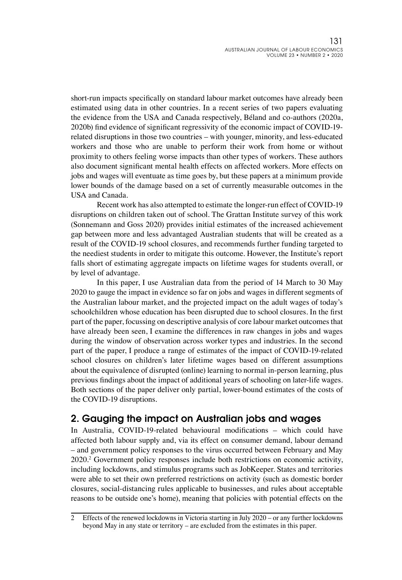short-run impacts specifically on standard labour market outcomes have already been estimated using data in other countries. In a recent series of two papers evaluating the evidence from the USA and Canada respectively, Béland and co-authors (2020a, 2020b) find evidence of significant regressivity of the economic impact of COVID-19 related disruptions in those two countries – with younger, minority, and less-educated workers and those who are unable to perform their work from home or without proximity to others feeling worse impacts than other types of workers. These authors also document significant mental health effects on affected workers. More effects on jobs and wages will eventuate as time goes by, but these papers at a minimum provide lower bounds of the damage based on a set of currently measurable outcomes in the USA and Canada.

Recent work has also attempted to estimate the longer-run effect of COVID-19 disruptions on children taken out of school. The Grattan Institute survey of this work (Sonnemann and Goss 2020) provides initial estimates of the increased achievement gap between more and less advantaged Australian students that will be created as a result of the COVID-19 school closures, and recommends further funding targeted to the neediest students in order to mitigate this outcome. However, the Institute's report falls short of estimating aggregate impacts on lifetime wages for students overall, or by level of advantage.

In this paper, I use Australian data from the period of 14 March to 30 May 2020 to gauge the impact in evidence so far on jobs and wages in different segments of the Australian labour market, and the projected impact on the adult wages of today's schoolchildren whose education has been disrupted due to school closures. In the first part of the paper, focussing on descriptive analysis of core labour market outcomes that have already been seen, I examine the differences in raw changes in jobs and wages during the window of observation across worker types and industries. In the second part of the paper, I produce a range of estimates of the impact of COVID-19-related school closures on children's later lifetime wages based on different assumptions about the equivalence of disrupted (online) learning to normal in-person learning, plus previous findings about the impact of additional years of schooling on later-life wages. Both sections of the paper deliver only partial, lower-bound estimates of the costs of the COVID-19 disruptions.

### 2. Gauging the impact on Australian jobs and wages

In Australia, COVID-19-related behavioural modifications – which could have affected both labour supply and, via its effect on consumer demand, labour demand – and government policy responses to the virus occurred between February and May 2020.2 Government policy responses include both restrictions on economic activity, including lockdowns, and stimulus programs such as JobKeeper. States and territories were able to set their own preferred restrictions on activity (such as domestic border closures, social-distancing rules applicable to businesses, and rules about acceptable reasons to be outside one's home), meaning that policies with potential effects on the

<sup>2</sup> Effects of the renewed lockdowns in Victoria starting in July 2020 – or any further lockdowns beyond May in any state or territory – are excluded from the estimates in this paper.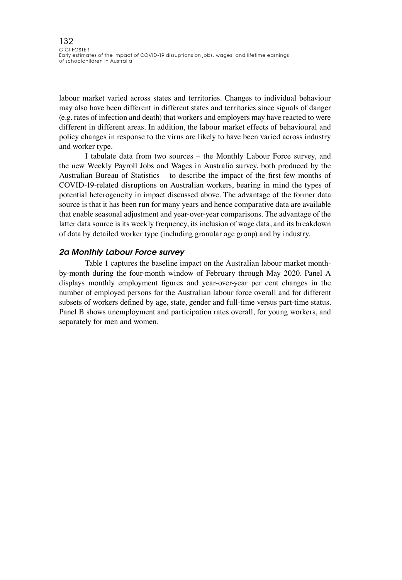labour market varied across states and territories. Changes to individual behaviour may also have been different in different states and territories since signals of danger (e.g. rates of infection and death) that workers and employers may have reacted to were different in different areas. In addition, the labour market effects of behavioural and policy changes in response to the virus are likely to have been varied across industry and worker type.

I tabulate data from two sources – the Monthly Labour Force survey, and the new Weekly Payroll Jobs and Wages in Australia survey, both produced by the Australian Bureau of Statistics – to describe the impact of the first few months of COVID-19-related disruptions on Australian workers, bearing in mind the types of potential heterogeneity in impact discussed above. The advantage of the former data source is that it has been run for many years and hence comparative data are available that enable seasonal adjustment and year-over-year comparisons. The advantage of the latter data source is its weekly frequency, its inclusion of wage data, and its breakdown of data by detailed worker type (including granular age group) and by industry.

#### *2a Monthly Labour Force survey*

Table 1 captures the baseline impact on the Australian labour market monthby-month during the four-month window of February through May 2020. Panel A displays monthly employment figures and year-over-year per cent changes in the number of employed persons for the Australian labour force overall and for different subsets of workers defined by age, state, gender and full-time versus part-time status. Panel B shows unemployment and participation rates overall, for young workers, and separately for men and women.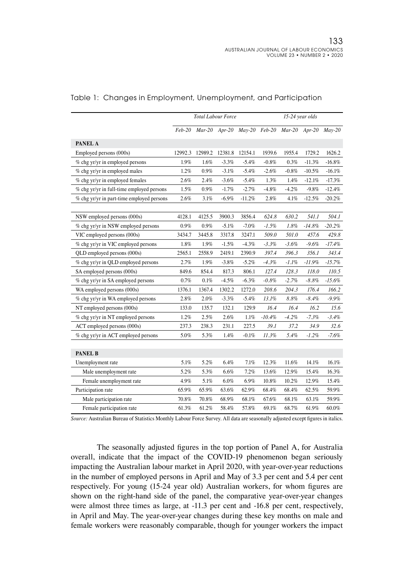|                                           |          | <b>Total Labour Force</b> |          |                             |           |          | 15-24 year olds |           |
|-------------------------------------------|----------|---------------------------|----------|-----------------------------|-----------|----------|-----------------|-----------|
|                                           | $Feb-20$ |                           |          | Mar-20 Apr-20 May-20 Feb-20 |           |          | $Mar-20$ Apr-20 | $Mav-20$  |
| PANEL A                                   |          |                           |          |                             |           |          |                 |           |
| Employed persons (000s)                   | 12992.3  | 12989.2                   | 12381.8  | 12154.1                     | 1939.6    | 1955.4   | 1729.2          | 1626.2    |
| % chg yr/yr in employed persons           | 1.9%     | $1.6\%$                   | $-3.3%$  | $-5.4%$                     | $-0.8\%$  | 0.3%     | $-11.3%$        | $-16.8%$  |
| % chg yr/yr in employed males             | 1.2%     | $0.9\%$                   | $-3.1%$  | $-5.4%$                     | $-2.6%$   | $-0.8\%$ | $-10.5%$        | $-16.1%$  |
| % chg yr/yr in employed females           | 2.6%     | 2.4%                      | $-3.6%$  | $-5.4%$                     | 1.3%      | 1.4%     | $-12.1%$        | $-17.3%$  |
| % chg yr/yr in full-time employed persons | $1.5\%$  | $0.9\%$                   | $-1.7%$  | $-2.7%$                     | $-4.8%$   | $-4.2%$  | $-9.8%$         | $-12.4%$  |
| % chg yr/yr in part-time employed persons | 2.6%     | 3.1%                      | $-6.9\%$ | $-11.2%$                    | 2.8%      | 4.1%     | $-12.5%$        | $-20.2%$  |
|                                           |          |                           |          |                             |           |          |                 |           |
| NSW employed persons (000s)               | 4128.1   | 4125.5                    | 3900.3   | 3856.4                      | 624.8     | 630.2    | 541.1           | 504.1     |
| % chg yr/yr in NSW employed persons       | 0.9%     | 0.9%                      | $-5.1%$  | $-7.0%$                     | $-1.5%$   | 1.8%     | $-14.8%$        | $-20.2%$  |
| VIC employed persons (000s)               | 3434.7   | 3445.8                    | 3317.8   | 3247.1                      | 509.0     | 501.0    | 457.6           | 429.8     |
| % chg yr/yr in VIC employed persons       | 1.8%     | 1.9%                      | $-1.5%$  | $-4.3%$                     | $-3.3%$   | $-3.6\%$ | $-9.6%$         | $-17.4\%$ |
| QLD employed persons (000s)               | 2565.1   | 2558.9                    | 2419.1   | 2390.9                      | 397.4     | 396.3    | 356.1           | 343.4     |
| % chg yr/yr in QLD employed persons       | 2.7%     | 1.9%                      | $-3.8%$  | $-5.2%$                     | $-4.3%$   | $-1.1%$  | $-11.9%$        | $-15.7%$  |
| SA employed persons (000s)                | 849.6    | 854.4                     | 817.3    | 806.1                       | 127.4     | 128.3    | 118.0           | 110.5     |
| % chg yr/yr in SA employed persons        | 0.7%     | 0.1%                      | $-4.5%$  | $-6.3%$                     | $-0.8\%$  | $-2.7%$  | $-8.8%$         | -15.6%    |
| WA employed persons (000s)                | 1376.1   | 1367.4                    | 1302.2   | 1272.0                      | 208.6     | 204.3    | 176.4           | 166.2     |
| % chg yr/yr in WA employed persons        | 2.8%     | $2.0\%$                   | $-3.3%$  | $-5.4%$                     | 13.1%     | 8.8%     | $-8.4%$         | $-9.9\%$  |
| NT employed persons (000s)                | 133.0    | 135.7                     | 132.1    | 129.9                       | 16.4      | 16.4     | 16.2            | 15.6      |
| % chg yr/yr in NT employed persons        | 1.2%     | 2.5%                      | 2.6%     | 1.1%                        | $-10.4\%$ | $-4.2%$  | $-7.3%$         | $-3.4%$   |
| ACT employed persons (000s)               | 237.3    | 238.3                     | 231.1    | 227.5                       | 39.1      | 37.2     | 34.9            | 32.6      |
| % chg yr/yr in ACT employed persons       | 5.0%     | 5.3%                      | 1.4%     | $-0.1%$                     | 11.3%     | 5.4%     | $-1.2%$         | $-7.6%$   |
|                                           |          |                           |          |                             |           |          |                 |           |
| <b>PANEL B</b>                            |          |                           |          |                             |           |          |                 |           |
| Unemployment rate                         | 5.1%     | 5.2%                      | 6.4%     | 7.1%                        | 12.3%     | 11.6%    | 14.1%           | 16.1%     |
| Male unemployment rate                    | 5.2%     | 5.3%                      | 6.6%     | 7.2%                        | 13.6%     | 12.9%    | 15.4%           | 16.3%     |
| Female unemployment rate                  | 4.9%     | 5.1%                      | 6.0%     | 6.9%                        | 10.8%     | 10.2%    | 12.9%           | 15.4%     |
| Participation rate                        | 65.9%    | 65.9%                     | 63.6%    | 62.9%                       | 68.4%     | 68.4%    | 62.5%           | 59.9%     |
| Male participation rate                   | 70.8%    | 70.8%                     | 68.9%    | 68.1%                       | 67.6%     | 68.1%    | 63.1%           | 59.9%     |
| Female participation rate                 | 61.3%    | 61.2%                     | 58.4%    | 57.8%                       | 69.1%     | 68.7%    | 61.9%           | 60.0%     |

#### Table 1: Changes in Employment, Unemployment, and Participation

*Source:* Australian Bureau of Statistics Monthly Labour Force Survey. All data are seasonally adjusted except figures in italics.

The seasonally adjusted figures in the top portion of Panel A, for Australia overall, indicate that the impact of the COVID-19 phenomenon began seriously impacting the Australian labour market in April 2020, with year-over-year reductions in the number of employed persons in April and May of 3.3 per cent and 5.4 per cent respectively. For young (15-24 year old) Australian workers, for whom figures are shown on the right-hand side of the panel, the comparative year-over-year changes were almost three times as large, at -11.3 per cent and -16.8 per cent, respectively, in April and May. The year-over-year changes during these key months on male and female workers were reasonably comparable, though for younger workers the impact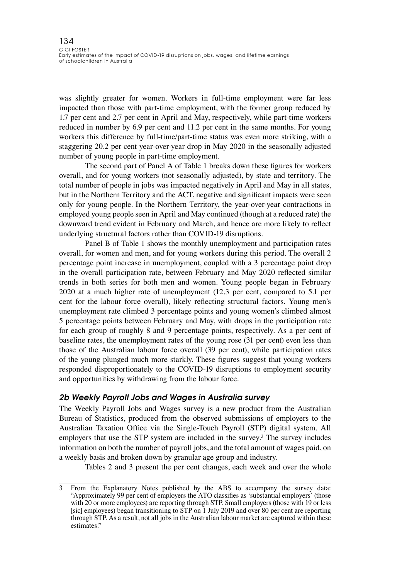was slightly greater for women. Workers in full-time employment were far less impacted than those with part-time employment, with the former group reduced by 1.7 per cent and 2.7 per cent in April and May, respectively, while part-time workers reduced in number by 6.9 per cent and 11.2 per cent in the same months. For young workers this difference by full-time/part-time status was even more striking, with a staggering 20.2 per cent year-over-year drop in May 2020 in the seasonally adjusted number of young people in part-time employment.

The second part of Panel A of Table 1 breaks down these figures for workers overall, and for young workers (not seasonally adjusted), by state and territory. The total number of people in jobs was impacted negatively in April and May in all states, but in the Northern Territory and the ACT, negative and significant impacts were seen only for young people. In the Northern Territory, the year-over-year contractions in employed young people seen in April and May continued (though at a reduced rate) the downward trend evident in February and March, and hence are more likely to reflect underlying structural factors rather than COVID-19 disruptions.

Panel B of Table 1 shows the monthly unemployment and participation rates overall, for women and men, and for young workers during this period. The overall 2 percentage point increase in unemployment, coupled with a 3 percentage point drop in the overall participation rate, between February and May 2020 reflected similar trends in both series for both men and women. Young people began in February 2020 at a much higher rate of unemployment (12.3 per cent, compared to 5.1 per cent for the labour force overall), likely reflecting structural factors. Young men's unemployment rate climbed 3 percentage points and young women's climbed almost 5 percentage points between February and May, with drops in the participation rate for each group of roughly 8 and 9 percentage points, respectively. As a per cent of baseline rates, the unemployment rates of the young rose (31 per cent) even less than those of the Australian labour force overall (39 per cent), while participation rates of the young plunged much more starkly. These figures suggest that young workers responded disproportionately to the COVID-19 disruptions to employment security and opportunities by withdrawing from the labour force.

#### *2b Weekly Payroll Jobs and Wages in Australia survey*

The Weekly Payroll Jobs and Wages survey is a new product from the Australian Bureau of Statistics, produced from the observed submissions of employers to the Australian Taxation Office via the Single-Touch Payroll (STP) digital system. All employers that use the STP system are included in the survey.<sup>3</sup> The survey includes information on both the number of payroll jobs, and the total amount of wages paid, on a weekly basis and broken down by granular age group and industry.

Tables 2 and 3 present the per cent changes, each week and over the whole

<sup>3</sup> From the Explanatory Notes published by the ABS to accompany the survey data: "Approximately 99 per cent of employers the ATO classifies as 'substantial employers' (those with 20 or more employees) are reporting through STP. Small employers (those with 19 or less [sic] employees) began transitioning to STP on 1 July 2019 and over 80 per cent are reporting through STP. As a result, not all jobs in the Australian labour market are captured within these estimates."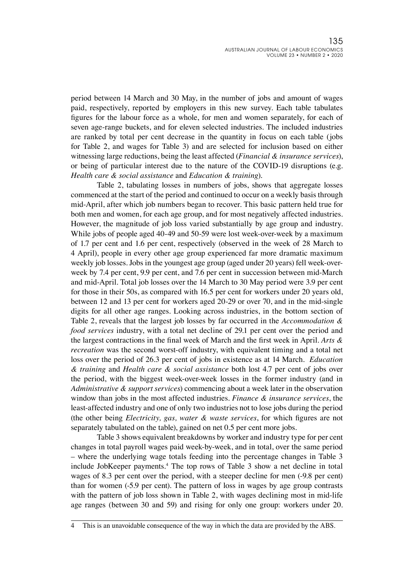period between 14 March and 30 May, in the number of jobs and amount of wages paid, respectively, reported by employers in this new survey. Each table tabulates figures for the labour force as a whole, for men and women separately, for each of seven age-range buckets, and for eleven selected industries. The included industries are ranked by total per cent decrease in the quantity in focus on each table (jobs for Table 2, and wages for Table 3) and are selected for inclusion based on either witnessing large reductions, being the least affected (*Financial & insurance services*), or being of particular interest due to the nature of the COVID-19 disruptions (e.g. *Health care & social assistance* and *Education & training*).

Table 2, tabulating losses in numbers of jobs, shows that aggregate losses commenced at the start of the period and continued to occur on a weekly basis through mid-April, after which job numbers began to recover. This basic pattern held true for both men and women, for each age group, and for most negatively affected industries. However, the magnitude of job loss varied substantially by age group and industry. While jobs of people aged 40-49 and 50-59 were lost week-over-week by a maximum of 1.7 per cent and 1.6 per cent, respectively (observed in the week of 28 March to 4 April), people in every other age group experienced far more dramatic maximum weekly job losses. Jobs in the youngest age group (aged under 20 years) fell week-overweek by 7.4 per cent, 9.9 per cent, and 7.6 per cent in succession between mid-March and mid-April. Total job losses over the 14 March to 30 May period were 3.9 per cent for those in their 50s, as compared with 16.5 per cent for workers under 20 years old, between 12 and 13 per cent for workers aged 20-29 or over 70, and in the mid-single digits for all other age ranges. Looking across industries, in the bottom section of Table 2, reveals that the largest job losses by far occurred in the *Accommodation & food services* industry, with a total net decline of 29.1 per cent over the period and the largest contractions in the final week of March and the first week in April. *Arts & recreation* was the second worst-off industry, with equivalent timing and a total net loss over the period of 26.3 per cent of jobs in existence as at 14 March. *Education & training* and *Health care & social assistance* both lost 4.7 per cent of jobs over the period, with the biggest week-over-week losses in the former industry (and in *Administrative & support services*) commencing about a week later in the observation window than jobs in the most affected industries. *Finance & insurance services*, the least-affected industry and one of only two industries not to lose jobs during the period (the other being *Electricity, gas, water & waste services*, for which figures are not separately tabulated on the table), gained on net 0.5 per cent more jobs.

Table 3 shows equivalent breakdowns by worker and industry type for per cent changes in total payroll wages paid week-by-week, and in total, over the same period – where the underlying wage totals feeding into the percentage changes in Table 3 include JobKeeper payments.<sup>4</sup> The top rows of Table 3 show a net decline in total wages of 8.3 per cent over the period, with a steeper decline for men (-9.8 per cent) than for women (-5.9 per cent). The pattern of loss in wages by age group contrasts with the pattern of job loss shown in Table 2, with wages declining most in mid-life age ranges (between 30 and 59) and rising for only one group: workers under 20.

<sup>4</sup> This is an unavoidable consequence of the way in which the data are provided by the ABS.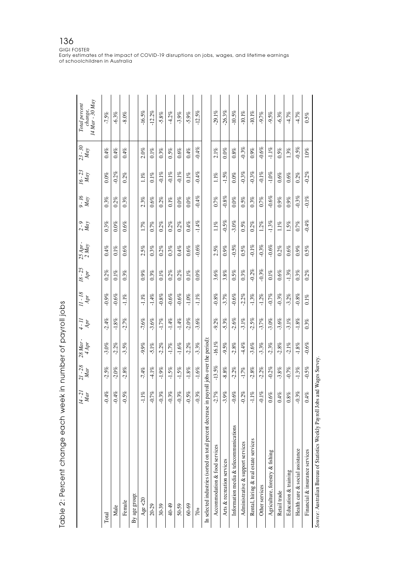| rable 2: Percent change each week in number of payroll jobs                                |                     |                     |                              |          |                     |           |                   |                   |                             |                  |                       |                                             |
|--------------------------------------------------------------------------------------------|---------------------|---------------------|------------------------------|----------|---------------------|-----------|-------------------|-------------------|-----------------------------|------------------|-----------------------|---------------------------------------------|
|                                                                                            | $\frac{14-2I}{Mar}$ | $\frac{21-28}{Mar}$ | $\frac{28 \, Mar}{4 \, Apr}$ | $4 - II$ | $\frac{11-18}{Apr}$ | $18 - 25$ | 25 Apr -<br>2 May | $\frac{2-9}{May}$ | $\frac{\partial - I6}{May}$ | $16 - 23$<br>May | $\frac{23 - 30}{May}$ | change,<br>14 Mar - 30 May<br>Total percent |
| Total                                                                                      | $-0.4%$             | $-2.5\%$            | $-3.0\%$                     | $-2.4%$  | $-0.9%$             | 0.2%      | 0.4%              | 0.3%              | 0.3%                        | $0.0\%$          | 0.4%                  | $-7.5%$                                     |
| Male                                                                                       | $-0.4\%$            | $-2.0\%$            | 2.2%                         | $-1.8\%$ | $-0.6%$             | $0.1\%$   | $0.1\%$           | $0.0\%$           | $0.2\%$                     | $-0.2\%$         | $0.4\%$               | $-6.3%$                                     |
| Female                                                                                     | $-0.5%$             | $2.8\%$             | $-3.5%$                      | $-2.7%$  | $-1.1\%$            | 0.3%      | 0.6%              | $0.6\%$           | 0.3%                        | $0.2\%$          | $0.4\%$               | $-8.0\%$                                    |
| By age group:                                                                              |                     |                     |                              |          |                     |           |                   |                   |                             |                  |                       |                                             |
| Age $<$ 20                                                                                 | $-1.1%$             | $-7.4%$             | $-9.9%$                      | $-7.6%$  | $-1.1%$             | 0.9%      | 2.5%              | 1.7%              | 2.3%                        | 1.1%             | $2.0\%$               | $-16.5%$                                    |
| 20-29                                                                                      | $-0.7%$             | $-4.1%$             | $-5.1%$                      | $-3.6%$  | $-1.4%$             | $0.3\%$   | 0.3%              | 0.7%              | 0.6%                        | $0.1\%$          | $0.1\%$               | $-12.2\%$                                   |
| 30-39                                                                                      | 0.3%                | $-1.9\%$            | $-2.2\%$                     | $-1.7\%$ | $-0.8\%$            | $0.1\%$   | $0.2\%$           | $0.2\%$           | $0.2\%$                     | $-0.1\%$         | $0.3\%$               | $-5.8%$                                     |
| 40-49                                                                                      | 0.3%                | $-1.5%$             | $-1.7%$                      | $-1.4\%$ | $-0.6%$             | $0.2\%$   | 0.3%              | $0.2\%$           | $0.1\%$                     | $-0.1%$          | 0.5%                  | $-4.2%$                                     |
| 50-59                                                                                      | $-0.3%$             | $-1.5%$             | $-1.6\%$                     | $-1.4\%$ | $-0.6%$             | $0.2\%$   | 0.4%              | $0.2\%$           | $0.0\%$                     | $-0.1\%$         | 0.6%                  | $-3.9%$                                     |
| $60 - 69$                                                                                  | $-0.5%$             | $-1.8\%$            | $-2.2\%$                     | $-2.0\%$ | $-1.0\%$            | $0.1\%$   | 0.6%              | $0.4\%$           | $0.0\%$                     | $0.1\%$          | 0.4%                  | $-5.9%$                                     |
| $\overline{5}$                                                                             | $-0.3%$             | $-1.6\%$            | $-3.3%$                      | $-3.6%$  | $-1.1\%$            | $0.0\%$   | $-0.6%$           | $-1.4\%$          | $-0.4\%$                    | $-0.4%$          | $-0.4\%$              | $-12.5%$                                    |
| In selected industries (sorted on total percent decrease in payroll jobs over the period): |                     |                     |                              |          |                     |           |                   |                   |                             |                  |                       |                                             |
| Accommodation & food services                                                              | $-2.7%$             | $-13.5\%$           | $-16.1\%$                    | $-9.2%$  | $-0.8\%$            | 3.6%      | 2.5%              | 1.1%              | 0.7%                        | 1.1%             | $2.1\%$               | $-29.1\%$                                   |
| Arts & recreation services                                                                 | $-3.9%$             | $-8.8%$             | $-9.5%$                      | $-5.3%$  | $-3.7%$             | 3.8%      | 0.9%              | $-0.5%$           | $-0.8\%$                    | $-1.5%$          | $0.0\%$               | $-26.3%$                                    |
| Information media & telecommunications                                                     | $-0.6%$             | $-2.2%$             | $-2.8\%$                     | $-2.6%$  | $-0.6%$             | 0.5%      | $-0.5%$           | $-3.0\%$          | $0.0\%$                     | $0.0\%$          | $0.8\%$               | $-10.5\%$                                   |
| Administrative & support services                                                          | $-0.2%$             | $-1.7%$             | $-4.4%$                      | $-3.1%$  | $-2.2%$             | $0.3\%$   | 0.5%              | 0.5%              | 0.5%                        | $-0.3%$          | $-0.3%$               | $10.1\%$                                    |
| Rental, hiring & real estate services                                                      | $-1.1\%$            | 2.8%                | $-3.6%$                      | $-2.5%$  | $-1.3\%$            | $-0.2\%$  | $-0.1\%$          | $0.2\%$           | 0.3%                        | 0.3%             | 0.9%                  | $10.1\%$                                    |
| Other services                                                                             | $0.1\%$             | $-2.2\%$            | $-3.3%$                      | $-3.7%$  | $-1.2\%$            | $-0.3%$   | $-0.3%$           | $1.2\%$           | 0.7%                        | $-0.1\%$         | $-0.6%$               | 9.7%                                        |
| Agriculture, forestry & fishing                                                            | 0.6%                | $-0.2%$             | $-2.3%$                      | $-3.0\%$ | $-0.7%$             | $0.1\%$   | $-0.6%$           | $-1.3%$           | $-0.6%$                     | $-1.0\%$         | $-1.1\%$              | $-9.5%$                                     |
| Retail trade                                                                               | $0.4\%$             | $-3.8\%$            | 2.8%                         | $-3.6%$  | $-0.3\%$            | 0.6%      | $0.2\%$           | $1.1\%$           | 0.9%                        | 0.6%             | 0.5%                  | $-6.3%$                                     |
| Education & training                                                                       | $0.8\%$             | $-0.7%$             | $-2.1%$                      | $-3.1\%$ | $-3.2\%$            | $-1.3\%$  | 0.6%              | 1.5%              | 0.9%                        | 0.6%             | 1.3%                  | $-4.7%$                                     |
| Health care & social assistance                                                            | $-0.3\%$            | $-1.3\%$            | $-1.8\%$                     | $-1.8\%$ | $-0.8\%$            | 0.3%      | 0.9%              | 0.7%              | $-0.3%$                     | $0.2\%$          | $-0.5%$               | $-4.7%$                                     |
| Financial & insurance services                                                             | 0.4%                | $-0.5\%$            | $-0.6\%$                     | 0.3%     | $0.1\%$             | $0.2\%$   | 0.5%              | $-0.4%$           | $-0.1\%$                    | $-0.2\%$         | $1.0\%$               | 0.5%                                        |
| Source: Australian Bureau of Statistics Weekly Payroll Jobs and Wages Survey,              |                     |                     |                              |          |                     |           |                   |                   |                             |                  |                       |                                             |

Table 2: Percent change each week in number of payroll jobs

GIGI FOSTER Early estimates of the impact of COVID-19 disruptions on jobs, wages, and lifetime earnings of schoolchildren in Australia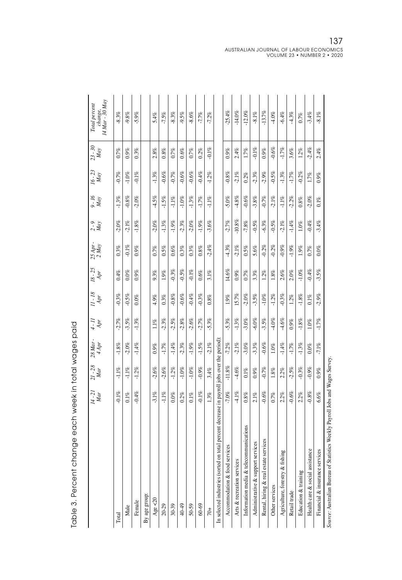|                                                                                           | $\frac{14-21}{Mar}$ | $\frac{21-28}{Mar}$ | $\begin{array}{c} 28\,Mar \\ 4\, Apr \end{array}$ | $4 - II$ | $\frac{11-18}{Apr}$ | $\frac{18-25}{Apr}$ | 25 Apr -<br>2 May | $\frac{2}{May}$ | $\frac{9.16}{May}$ | $\frac{16-23}{Max}$ | $\frac{23-30}{Max}$ | 14 Mar - 30 May<br>Total percent<br>change, |
|-------------------------------------------------------------------------------------------|---------------------|---------------------|---------------------------------------------------|----------|---------------------|---------------------|-------------------|-----------------|--------------------|---------------------|---------------------|---------------------------------------------|
| Total                                                                                     | $0.1\%$             | $-1.1\%$            | $-1.8\%$                                          | $-2.7%$  | $-0.3%$             | 0.4%                | 0.3%              | $-2.0%$         | $-1.3%$            | $-0.7%$             | 0.7%                | $-8.3%$                                     |
| Male                                                                                      | $0.1\%$             | $-1.1%$             | $-2.0%$                                           | $-3.5%$  | $-0.5%$             | $0.0\%$             | $-0.1\%$          | $-2.1\%$        | $-0.8%$            | $-1.0\%$            | 0.9%                | $-9.8%$                                     |
| Female                                                                                    | $-0.4\%$            | $-1.2\%$            | $-1.4\%$                                          | $-1.3\%$ | $0.0\%$             | 0.9%                | 0.9%              | $-1.8\%$        | $-2.0\%$           | $-0.1\%$            | 0.3%                | $-5.9%$                                     |
| By age group:                                                                             |                     |                     |                                                   |          |                     |                     |                   |                 |                    |                     |                     |                                             |
| Age $<$ 20                                                                                | $-3.1%$             | 2.6%                | 0.9%                                              | 11%      | 4.9%                | 9.3%                | 0.7%              | $-2.0%$         | $-4.5%$            | $-1.3%$             | 2.8%                | 5.4%                                        |
| $20 - 29$                                                                                 | $-1.1%$             | $-2.6%$             | $-1.7%$                                           | $-2.3%$  | 0.3%                | 1.9%                | 0.5%              | $-1.3%$         | $-1.5\%$           | $-0.6%$             | $0.8\%$             | $-7.5%$                                     |
| $30 - 39$                                                                                 | $0.0\%$             | $-1.2\%$            | $-1.4%$                                           | $-2.5%$  | $-0.8\%$            | $-0.3%$             | 0.6%              | $-1.9%$         | $-1.1\%$           | $-0.7%$             | 0.7%                | 8.3%                                        |
| 40-49                                                                                     | $0.2\%$             | $-1.0\%$            | $-2.3%$                                           | $-2.8\%$ | $-0.6%$             | $-0.5%$             | $0.3\%$           | $-2.3%$         | $-1.0\%$           | $-0.6%$             | 0.6%                | $-9.5%$                                     |
| 50-59                                                                                     | $0.1\%$             | $-1.0\%$            | $-1.9%$                                           | $-2.6%$  | $-0.4%$             | $-0.1\%$            | 0.3%              | $-2.0\%$        | $-1.3%$            | $-0.6%$             | 0.7%                | $-8.6%$                                     |
| $60 - 69$                                                                                 | $0.1\%$             | $-0.9%$             | $-1.5\%$                                          | $-2.7%$  | $-0.3%$             | 0.6%                | 0.8%              | $-1.9%$         | $-1.7%$            | $-0.4%$             | $0.2\%$             | $-7.7%$                                     |
| $\overline{6}$                                                                            | 13%                 | 3.4%                | $-2.1\%$                                          | $-5.3%$  | $0.8\%$             | $3.1\%$             | $-2.4%$           | $-3.6%$         | $-1.1\%$           | $-1.2\%$            | $-0.1\%$            | $-7.2%$                                     |
| In selected industries (sorted on total percent decrease in payroll jobs over the period) |                     |                     |                                                   |          |                     |                     |                   |                 |                    |                     |                     |                                             |
| Accommodation & food services                                                             | $7.0\%$             | $-11.8%$            | $-7.2%$                                           | $-5.3%$  | 1.9%                | 14.6%               | $-4.3%$           | $-2.7%$         | $-5.0%$            | $-0.8%$             | 0.9%                | $-25.4%$                                    |
| Arts & recreation services                                                                | $-4.1%$             | $-4.6%$             | $-2.1\%$                                          | $-1.3\%$ | 15.7%               | $0.9\%$             | $-2.1\%$          | $-10.8\%$       | $-4.8\%$           | $-2.1%$             | 2.4%                | $-14.0\%$                                   |
| Information media & telecommunications                                                    | 0.8%                | $0.1\%$             | $-3.0%$                                           | $-3.0%$  | $-2.0%$             | 0.7%                | 0.5%              | $-7.8%$         | $-0.6%$            | $0.2\%$             | 1.7%                | $-12.0\%$                                   |
| Administrative & support services                                                         | 2.1%                | 0.9%                | $-3.3%$                                           | $-6.0\%$ | $-3.5%$             | 3.3%                | 5.6%              | $-0.5%$         | $-3.8%$            | $-2.3%$             | $-0.1\%$            | $-8.1\%$                                    |
| Rental, hiring & real estate services                                                     | $-0.6%$             | $-0.7%$             | $-0.6%$                                           | $-3.5%$  | $-1.0\%$            | $1.2\%$             | $-0.2%$           | $-6.3%$         | $-0.7%$            | $-2.9%$             | 0.9%                | $-13.7%$                                    |
| Other services                                                                            | 0.7%                | 1.8%                | $1.0\%$                                           | $-4.0%$  | $-1.2\%$            | $1.8\%$             | $-0.2%$           | $-0.5%$         | $-2.1%$            | $-0.5%$             | $-0.6%$             | $4.0\%$                                     |
| Agriculture, forestry & fishing                                                           | 2.2%                | 2.2%                | $-1.4%$                                           | $-4.6%$  | $-0.3%$             | 2.6%                | $-0.9%$           | $-2.1%$         | $-1.1%$            | $-1.3%$             | $-1.7%$             | $-6.4%$                                     |
| Retail trade                                                                              | $-0.6%$             | $-2.5%$             | $-1.7\%$                                          | 0.9%     | $1.2\%$             | $2.0\%$             | $-1.9%$           | $-1.4%$         | $-2.2\%$           | $-1.7%$             | 3.6%                | $-4.3%$                                     |
| Education & training                                                                      | $2.2\%$             | $-0.3%$             | $-1.3\%$                                          | $-1.8\%$ | $-1.8\%$            | $-1.0\%$            | 1.9%              | $1.0\%$         | 0.8%               | $-0.2%$             | $1.2\%$             | 0.7%                                        |
| Health care & social assistance                                                           | $-0.8%$             | $-0.9%$             | $0.0\%$                                           | $1.0\%$  | $0.1\%$             | $-0.4%$             | 0.7%              | $-0.4%$         | $-2.0\%$           | $1.7\%$             | $-2.4%$             | $-3.4%$                                     |
| Financial & insurance services                                                            | 6.6%                | 0.9%                | $-7.1\%$                                          | $-1.7%$  | $-2.9%$             | $-3.5%$             | $0.0\%$           | $-3.4%$         | $0.1\%$            | 0.9%                | 2.4%                | $-8.1%$                                     |
| Course Australian Bureau of Statistics Weekly Payroll Jobs and Wages Survey               |                     |                     |                                                   |          |                     |                     |                   |                 |                    |                     |                     |                                             |

| l<br>くろくらく<br>)     |
|---------------------|
| l                   |
| .<br>.<br>.         |
|                     |
| ころうろ りょうこう サミリ<br>١ |
| ı                   |
|                     |
| 1<br>Ì<br>I         |

ig. *Source:* Australian Bureau of Statistics Weekly Payroll Jobs and Wages Survey.É í<br>D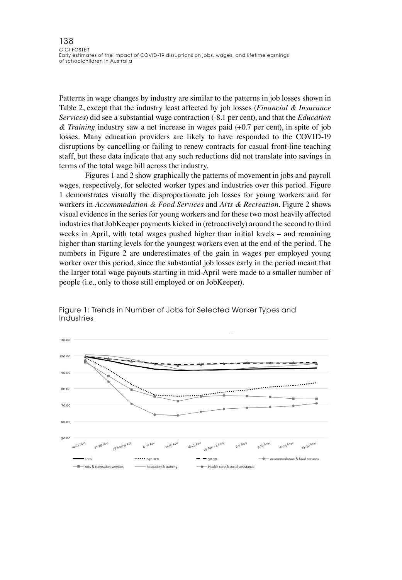Patterns in wage changes by industry are similar to the patterns in job losses shown in Table 2, except that the industry least affected by job losses (*Financial & Insurance Services*) did see a substantial wage contraction (-8.1 per cent), and that the *Education & Training* industry saw a net increase in wages paid (+0.7 per cent), in spite of job losses. Many education providers are likely to have responded to the COVID-19 disruptions by cancelling or failing to renew contracts for casual front-line teaching staff, but these data indicate that any such reductions did not translate into savings in terms of the total wage bill across the industry.

Figures 1 and 2 show graphically the patterns of movement in jobs and payroll wages, respectively, for selected worker types and industries over this period. Figure 1 demonstrates visually the disproportionate job losses for young workers and for workers in *Accommodation & Food Services* and *Arts & Recreation*. Figure 2 shows visual evidence in the series for young workers and for these two most heavily affected industries that JobKeeper payments kicked in (retroactively) around the second to third weeks in April, with total wages pushed higher than initial levels – and remaining higher than starting levels for the youngest workers even at the end of the period. The numbers in Figure 2 are underestimates of the gain in wages per employed young worker over this period, since the substantial job losses early in the period meant that the larger total wage payouts starting in mid-April were made to a smaller number of people (i.e., only to those still employed or on JobKeeper).



Figure 1: Trends in Number of Jobs for Selected Worker Types and Industries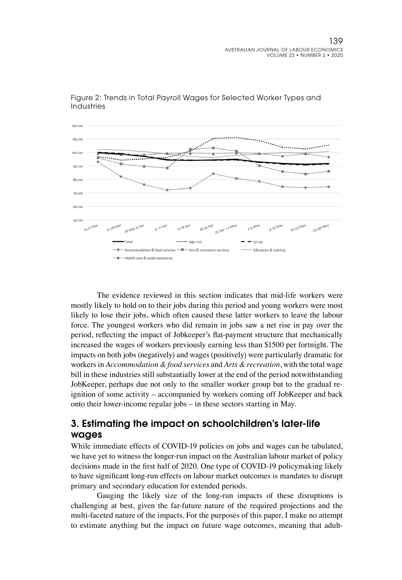



The evidence reviewed in this section indicates that mid-life workers were mostly likely to hold on to their jobs during this period and young workers were most likely to lose their jobs, which often caused these latter workers to leave the labour force. The youngest workers who did remain in jobs saw a net rise in pay over the period, reflecting the impact of Jobkeeper's flat-payment structure that mechanically increased the wages of workers previously earning less than \$1500 per fortnight. The impacts on both jobs (negatively) and wages (positively) were particularly dramatic for workers in *Accommodation & food services* and *Arts & recreation*, with the total wage bill in these industries still substantially lower at the end of the period notwithstanding JobKeeper, perhaps due not only to the smaller worker group but to the gradual reignition of some activity – accompanied by workers coming off JobKeeper and back onto their lower-income regular jobs – in these sectors starting in May.

### 3. Estimating the impact on schoolchildren's later-life wages

While immediate effects of COVID-19 policies on jobs and wages can be tabulated, we have yet to witness the longer-run impact on the Australian labour market of policy decisions made in the first half of 2020. One type of COVID-19 policymaking likely to have significant long-run effects on labour market outcomes is mandates to disrupt primary and secondary education for extended periods.

Gauging the likely size of the long-run impacts of these disruptions is challenging at best, given the far-future nature of the required projections and the multi-faceted nature of the impacts. For the purposes of this paper, I make no attempt to estimate anything but the impact on future wage outcomes, meaning that adult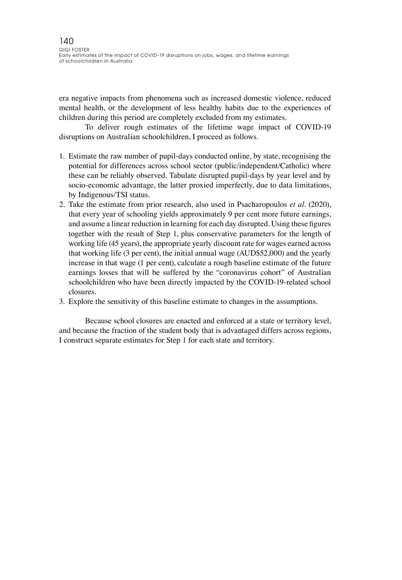era negative impacts from phenomena such as increased domestic violence, reduced mental health, or the development of less healthy habits due to the experiences of children during this period are completely excluded from my estimates.

To deliver rough estimates of the lifetime wage impact of COVID-19 disruptions on Australian schoolchildren, I proceed as follows.

- 1. Estimate the raw number of pupil-days conducted online, by state, recognising the potential for differences across school sector (public/independent/Catholic) where these can be reliably observed. Tabulate disrupted pupil-days by year level and by socio-economic advantage, the latter proxied imperfectly, due to data limitations, by Indigenous/TSI status.
- 2. Take the estimate from prior research, also used in Psacharopoulos *et al*. (2020), that every year of schooling yields approximately 9 per cent more future earnings, and assume a linear reduction in learning for each day disrupted. Using these figures together with the result of Step 1, plus conservative parameters for the length of working life (45 years), the appropriate yearly discount rate for wages earned across that working life (3 per cent), the initial annual wage (AUD\$52,000) and the yearly increase in that wage (1 per cent), calculate a rough baseline estimate of the future earnings losses that will be suffered by the "coronavirus cohort" of Australian schoolchildren who have been directly impacted by the COVID-19-related school closures.
- 3. Explore the sensitivity of this baseline estimate to changes in the assumptions.

Because school closures are enacted and enforced at a state or territory level, and because the fraction of the student body that is advantaged differs across regions, I construct separate estimates for Step 1 for each state and territory.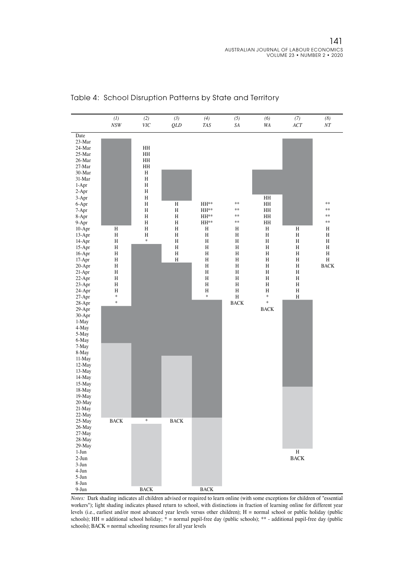

#### Table 4: School Disruption Patterns by State and Territory

*Notes:* Dark shading indicates all children advised or required to learn online (with some exceptions for children of "essential workers"); light shading indicates phased return to school, with distinctions in fraction of learning online for different year levels (i.e., earliest and/or most advanced year levels versus other children); H = normal school or public holiday (public schools); HH = additional school holiday; \* = normal pupil-free day (public schools); \*\* - additional pupil-free day (public schools); BACK = normal schooling resumes for all year levels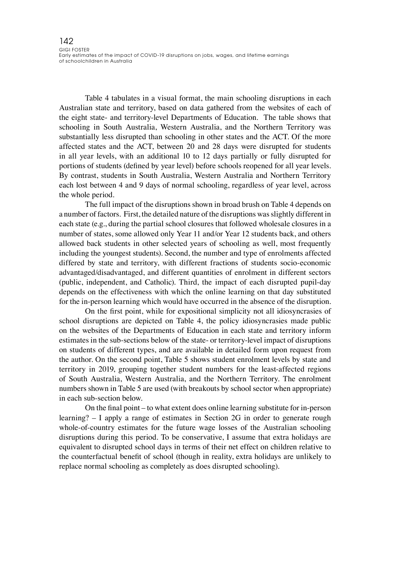Table 4 tabulates in a visual format, the main schooling disruptions in each Australian state and territory, based on data gathered from the websites of each of the eight state- and territory-level Departments of Education. The table shows that schooling in South Australia, Western Australia, and the Northern Territory was substantially less disrupted than schooling in other states and the ACT. Of the more affected states and the ACT, between 20 and 28 days were disrupted for students in all year levels, with an additional 10 to 12 days partially or fully disrupted for portions of students (defined by year level) before schools reopened for all year levels. By contrast, students in South Australia, Western Australia and Northern Territory each lost between 4 and 9 days of normal schooling, regardless of year level, across the whole period.

The full impact of the disruptions shown in broad brush on Table 4 depends on a number of factors. First, the detailed nature of the disruptions was slightly different in each state (e.g., during the partial school closures that followed wholesale closures in a number of states, some allowed only Year 11 and/or Year 12 students back, and others allowed back students in other selected years of schooling as well, most frequently including the youngest students). Second, the number and type of enrolments affected differed by state and territory, with different fractions of students socio-economic advantaged/disadvantaged, and different quantities of enrolment in different sectors (public, independent, and Catholic). Third, the impact of each disrupted pupil-day depends on the effectiveness with which the online learning on that day substituted for the in-person learning which would have occurred in the absence of the disruption.

On the first point, while for expositional simplicity not all idiosyncrasies of school disruptions are depicted on Table 4, the policy idiosyncrasies made public on the websites of the Departments of Education in each state and territory inform estimates in the sub-sections below of the state- or territory-level impact of disruptions on students of different types, and are available in detailed form upon request from the author. On the second point, Table 5 shows student enrolment levels by state and territory in 2019, grouping together student numbers for the least-affected regions of South Australia, Western Australia, and the Northern Territory. The enrolment numbers shown in Table 5 are used (with breakouts by school sector when appropriate) in each sub-section below.

On the final point – to what extent does online learning substitute for in-person learning? – I apply a range of estimates in Section 2G in order to generate rough whole-of-country estimates for the future wage losses of the Australian schooling disruptions during this period. To be conservative, I assume that extra holidays are equivalent to disrupted school days in terms of their net effect on children relative to the counterfactual benefit of school (though in reality, extra holidays are unlikely to replace normal schooling as completely as does disrupted schooling).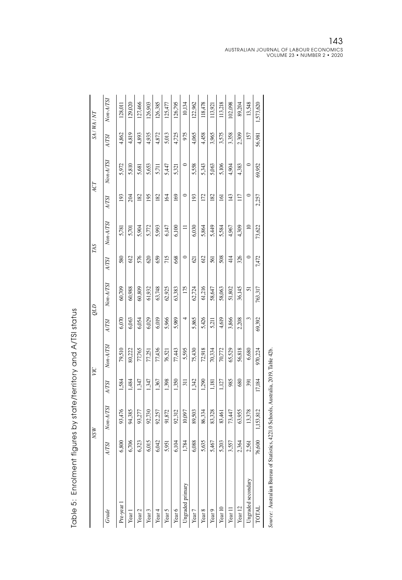|                    |              | <b>NSW</b>  |                  | УC        |              | GТÕ         |              | TAS       |                 | ACT       |        | SA/WA/NT  |
|--------------------|--------------|-------------|------------------|-----------|--------------|-------------|--------------|-----------|-----------------|-----------|--------|-----------|
| Grade              | <b>A/TSI</b> | $Non-A/TSI$ | A/TSI            | Non-A/TSI | <b>A/TSI</b> | $Non-A/TSI$ | <b>A/TSI</b> | Non-A/TSI | <b>A/TSI</b>    | Non-A/TSI | A/TSI  | Non-A/TSI |
| Pre-year           | 6,800        | 93,476      | 1,584            | 79,510    | 6,070        | 60,709      | 580          | 5,781     | 193             | 5,972     | 4,862  | 128,011   |
| Year 1             | 6,706        | 94,385      | 1484             | 80,222    | 6,063        | 60,988      | 612          | 5,701     | 204             | 5,810     | 4,819  | 29,020    |
| Year <sub>2</sub>  | 6,323        | 93,277      | 1,347            | 77,765    | 6,054        | 60,809      | 576          | 5,904     | 182             | 5,681     | 4,893  | 127,466   |
| Year <sub>3</sub>  | 6,015        | 92,730      | 1,347            | 77,251    | 6,029        | 61,932      | 620          | 5,772     | 195             | 5,653     | 4,935  | 126,903   |
| Year 4             | 6,042        | 92,257      | ,367             | 77,436    | 6,019        | 63,748      | 659          | 5,993     | 182             | 5,711     | 4,872  | 126,385   |
| Year 5             | 5,951        | 91,872      | 1,398            | 76,521    | 5,966        | 62,925      | 715          | 6,147     | 164             | 5,447     | 5,013  | 125,477   |
| Year 6             | 6,104        | 92,312      | 1,350            | 77,443    | 5,989        | 63,383      | 668          | 6,100     | 169             | 5,321     | 4,725  | 26,795    |
| Ungraded primary   | 1,784        | 10,097      | $\overline{311}$ | 5,595     | 4            | 175         | $\circ$      | $\equiv$  | $\circ$         | $\circ$   | 975    | 10,134    |
| Year <sub>7</sub>  | 6,088        | 89,503      | 1,342            | 75,430    | 5,865        | 62,724      | 621          | 6,030     | 193             | 5,558     | 4,065  | 122,962   |
| Year <sub>8</sub>  | 5,635        | 86,334      | .290             | 72,918    | 5,426        | 61,216      | 612          | 5,864     | 172             | 5,343     | 4,458  | 118,478   |
| Year <sub>9</sub>  | 5,467        | 83,328      | 1,181            | 70,334    | 5,211        | 58,647      | 561          | 5,449     | 182             | 5,063     | 3,965  | 113,921   |
| Year 10            | 5,203        | 83,461      | 1127             | 70,772    | 4,619        | 58,063      | 508          | 5,584     | $\overline{6}$  | 5,106     | 3,575  | 113,218   |
| Year 11            | 3,557        | 73,447      | 985              | 65,529    | 3,866        | 51,802      | 414          | 4,967     | 143             | 4,904     | 3,358  | 102,098   |
| Year <sub>12</sub> | 2,364        | 63,955      | 680              | 56,818    | 2,208        | 36,145      | 326          | 4,309     | $\overline{11}$ | 4,383     | 2,309  | 89,204    |
| Ungraded secondary | 2,561        | 13,378      | 391              | 6,680     | 3            | 51          | $\circ$      | $\approx$ | $\circ$         | $\circ$   | 157    | 13,548    |
| TOTAL              | 76,600       | 1,153,812   | 17,184           | 970,224   | 69,392       | 763,317     | 7,472        | 73,622    | 2,257           | 69,952    | 56,981 | 1,573,620 |
|                    |              |             |                  |           |              |             |              |           |                 |           |        |           |

| へいい こくせい<br>֧֚֚֝֝֝<br>֧֖֖֦֧֖֚֚֚֚֚֚֚֚֚֚֚֚֚֚֚֚֚֚֝֝֝֬֝֝֝֝֝֝֬֝֓֝֬֝<br>֧֧֝֬ <u>֖֚</u> |
|----------------------------------------------------------------------------------|
| .<br>2<br>$\frac{1}{2}$                                                          |
| )<br> <br> <br>ı                                                                 |
| ;<br>;<br>;<br>$\frac{1}{2}$<br>$\overline{a}$<br>I                              |

Source: Australian Bureau of Statistics, 4221.0 Schools, Australia, 2019, Table 42b. *Source:* Australian Bureau of Statistics, 4221.0 Schools, Australia, 2019, Table 42b.

143<br>australian journal of labour economics<br>volume 23 • number 2 • 2020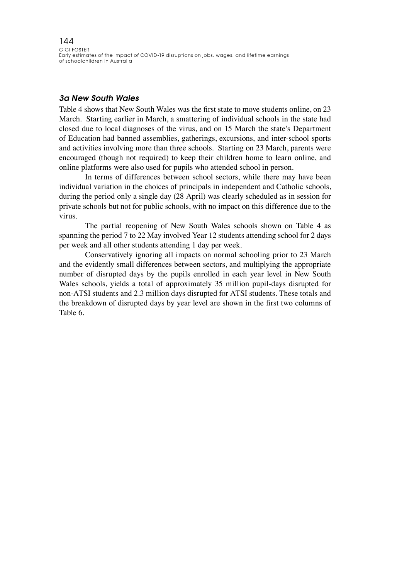#### *3a New South Wales*

Table 4 shows that New South Wales was the first state to move students online, on 23 March. Starting earlier in March, a smattering of individual schools in the state had closed due to local diagnoses of the virus, and on 15 March the state's Department of Education had banned assemblies, gatherings, excursions, and inter-school sports and activities involving more than three schools. Starting on 23 March, parents were encouraged (though not required) to keep their children home to learn online, and online platforms were also used for pupils who attended school in person.

In terms of differences between school sectors, while there may have been individual variation in the choices of principals in independent and Catholic schools, during the period only a single day (28 April) was clearly scheduled as in session for private schools but not for public schools, with no impact on this difference due to the virus.

The partial reopening of New South Wales schools shown on Table 4 as spanning the period 7 to 22 May involved Year 12 students attending school for 2 days per week and all other students attending 1 day per week.

Conservatively ignoring all impacts on normal schooling prior to 23 March and the evidently small differences between sectors, and multiplying the appropriate number of disrupted days by the pupils enrolled in each year level in New South Wales schools, yields a total of approximately 35 million pupil-days disrupted for non-ATSI students and 2.3 million days disrupted for ATSI students. These totals and the breakdown of disrupted days by year level are shown in the first two columns of Table 6.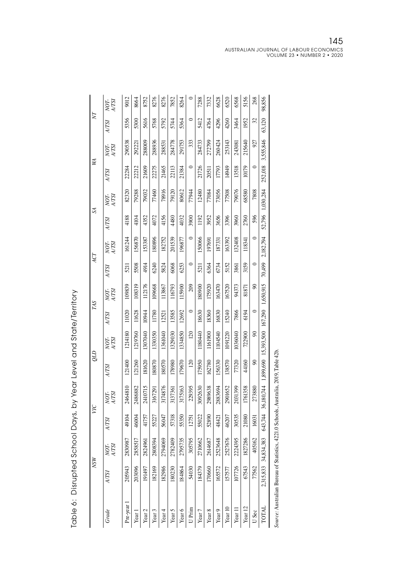|                | NOT-<br>A/TSI | 9012              | 8664    | 8752              | 8276              | 8276    | 7852    | 8264    |         | 7288    | 7332              | 6628              | 6520    | 6568    | 5156               | 268     | 98,856       |
|----------------|---------------|-------------------|---------|-------------------|-------------------|---------|---------|---------|---------|---------|-------------------|-------------------|---------|---------|--------------------|---------|--------------|
| $\overline{N}$ | <b>A/TSI</b>  | 5356              | 5300    | 5616              | 5768              | 5792    | 5744    | 5364    | $\circ$ | 5412    | 4764              | 4296              | 4260    | 3464    | 1952               | 32      | 63,120       |
|                | NOT-<br>A/TSI | 290538            | 292221  | 288009            | 288936            | 288531  | 284778  | 291753  | 333     | 284733  | 272799            | 260424            | 253143  | 243081  | 215640             | 927     | 3,555,846    |
| ÅХ             | <b>A/TSI</b>  | 22284             | 22212   | 21609             | 22275             | 21465   | 22113   | 21384   | $\circ$ | 21726   | 20511             | 17793             | 14949   | 13518   | 10179              | $\circ$ | 252,018      |
|                | NOT-<br>A/TSI | 82320             | 79288   | 79032             | 77460             | 78916   | 79120   | 80612   | 77944   | 12480   | 77084             | 73056             | 77508   | 79076   | 68580              | 7808    | 1,030,284    |
| Z              | <b>A/TSI</b>  | 4188              | 4104    | 4352              | 4072              | 4156    | 4480    | 4032    | 3900    | 1192    | 3952              | 3656              | 3396    | 3960    | 2760               | 596     | 52,796       |
| ACT            | NOT-<br>A/TSI | 161244            | 156870  | 153387            | 180896            | 182752  | 201539  | 196877  | $\circ$ | 150066  | 197691            | 187331            | 163392  | 132408  | 118341             | $\circ$ | 2,182,794    |
|                | A/TSI         | $\overline{5211}$ | 5508    | 4914              | 6240              | 5824    | 6068    | 6253    | $\circ$ | 5211    | 6364              | 6734              | 5152    | 3861    | 3159               | $\circ$ | 70,499       |
| TAS            | NOT-<br>A/TSI | 109839            | 108319  | 112176            | 109668            | 113867  | 116793  | 115900  | 209     | 180900  | 175920            | 163470            | 167520  | 94373   | 81871              | Ձ       | 1,650,915    |
|                | A/TSI         | 11020             | 11628   | 10944             | 11780             | 12521   | 13585   | 12692   | $\circ$ | 18630   | 18360             | 16830             | 15240   | 7866    | 6194               | $\circ$ | 167,290      |
|                | NOT-<br>A/TSI | 1214180           | 129760  | 307040            | 1330350           | 1361040 | 1329030 | 1334850 | 120     | 180440  | 1161900           | 104540            | 1091220 | 1036040 | 722900             | 90      | 15,393,500   |
| qтд            | A/TSI         | 121400            | 121260  | 181620            | 180870            | 180570  | 178980  | 179670  | 120     | 175950  | 162780            | 156330            | 138570  | 77320   | 44160              | 90      | 1,899,690    |
| УC             | NOT-<br>A/TSI | 2464810           | 2486882 | 2410715           | 3167291           | 3174876 | 3137361 | 3175163 | 229395  | 3092630 | 2989638           | 2883694           | 2901652 | 2031399 | 1761358            | 273880  | 36,180,744   |
|                | A/TSI         | 49104             | 46004   | 41757             | 55227             | 56047   | 57318   | 55350   | 12751   | 55022   | 52890             | 48421             | 46207   | 30535   | 21080              | 16031   | 643,744      |
|                | NOT-<br>A/TSI | 2830987           | 2858517 | 2824961           | 2808394           | 2794069 | 2782409 | 2795735 | 305795  | 2710662 | 2614687           | 2523648           | 2527676 | 2224395 | 827286             | 405162  | 34,834,383   |
| <b>NSW</b>     | A/TSI         | 205943            | 203096  | 191497            | 182169            | 182986  | 80230   | 184864  | 54030   | 184379  | 170660            | 165572            | 157577  | 107726  | 67543              | 77562   | 2,315,833    |
|                | Grade         | Pre-year          | Year    | Year <sub>2</sub> | Year <sub>3</sub> | Year 4  | Year 5  | Year 6  | U Prim  | Year 7  | Year <sub>8</sub> | Year <sub>9</sub> | Year 10 | Year 11 | Year <sub>12</sub> | U Sec   | <b>LATOT</b> |

Table 6: Disrupted School Days, by Year Level and State/Territory Table 6: Disrupted School Days, by Year Level and State/Territory

Source: Australian Bureau of Statistics, 4221.0 Schools, Australia, 2019, Table 42b. *Source:* Australian Bureau of Statistics, 4221.0 Schools, Australia, 2019, Table 42b.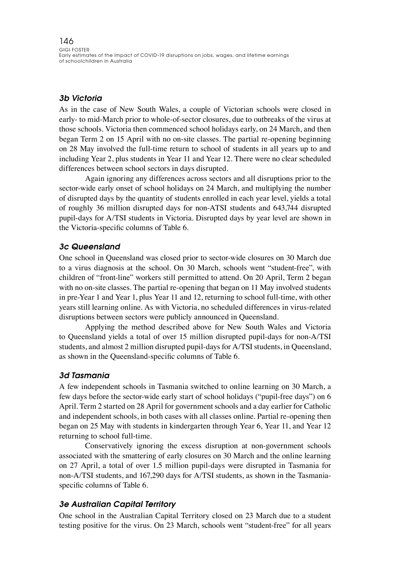### *3b Victoria*

As in the case of New South Wales, a couple of Victorian schools were closed in early- to mid-March prior to whole-of-sector closures, due to outbreaks of the virus at those schools. Victoria then commenced school holidays early, on 24 March, and then began Term 2 on 15 April with no on-site classes. The partial re-opening beginning on 28 May involved the full-time return to school of students in all years up to and including Year 2, plus students in Year 11 and Year 12. There were no clear scheduled differences between school sectors in days disrupted.

Again ignoring any differences across sectors and all disruptions prior to the sector-wide early onset of school holidays on 24 March, and multiplying the number of disrupted days by the quantity of students enrolled in each year level, yields a total of roughly 36 million disrupted days for non-ATSI students and 643,744 disrupted pupil-days for A/TSI students in Victoria. Disrupted days by year level are shown in the Victoria-specific columns of Table 6.

#### *3c Queensland*

One school in Queensland was closed prior to sector-wide closures on 30 March due to a virus diagnosis at the school. On 30 March, schools went "student-free", with children of "front-line" workers still permitted to attend. On 20 April, Term 2 began with no on-site classes. The partial re-opening that began on 11 May involved students in pre-Year 1 and Year 1, plus Year 11 and 12, returning to school full-time, with other years still learning online. As with Victoria, no scheduled differences in virus-related disruptions between sectors were publicly announced in Queensland.

Applying the method described above for New South Wales and Victoria to Queensland yields a total of over 15 million disrupted pupil-days for non-A/TSI students, and almost 2 million disrupted pupil-days for A/TSI students, in Queensland, as shown in the Queensland-specific columns of Table 6.

#### *3d Tasmania*

A few independent schools in Tasmania switched to online learning on 30 March, a few days before the sector-wide early start of school holidays ("pupil-free days") on 6 April. Term 2 started on 28 April for government schools and a day earlier for Catholic and independent schools, in both cases with all classes online. Partial re-opening then began on 25 May with students in kindergarten through Year 6, Year 11, and Year 12 returning to school full-time.

Conservatively ignoring the excess disruption at non-government schools associated with the smattering of early closures on 30 March and the online learning on 27 April, a total of over 1.5 million pupil-days were disrupted in Tasmania for non-A/TSI students, and 167,290 days for A/TSI students, as shown in the Tasmaniaspecific columns of Table 6.

### *3e Australian Capital Territory*

One school in the Australian Capital Territory closed on 23 March due to a student testing positive for the virus. On 23 March, schools went "student-free" for all years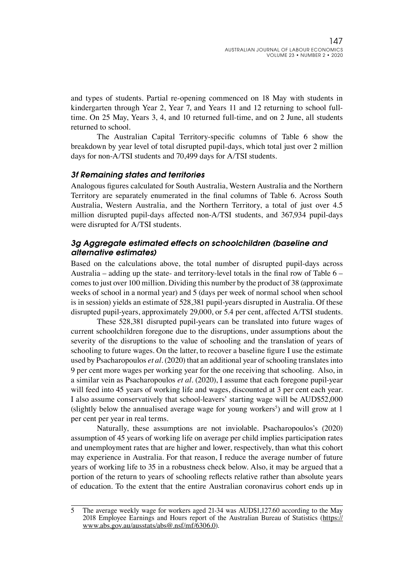and types of students. Partial re-opening commenced on 18 May with students in kindergarten through Year 2, Year 7, and Years 11 and 12 returning to school fulltime. On 25 May, Years 3, 4, and 10 returned full-time, and on 2 June, all students returned to school.

The Australian Capital Territory-specific columns of Table 6 show the breakdown by year level of total disrupted pupil-days, which total just over 2 million days for non-A/TSI students and 70,499 days for A/TSI students.

#### *3f Remaining states and territories*

Analogous figures calculated for South Australia, Western Australia and the Northern Territory are separately enumerated in the final columns of Table 6. Across South Australia, Western Australia, and the Northern Territory, a total of just over 4.5 million disrupted pupil-days affected non-A/TSI students, and 367,934 pupil-days were disrupted for A/TSI students.

#### *3g Aggregate estimated effects on schoolchildren (baseline and alternative estimates)*

Based on the calculations above, the total number of disrupted pupil-days across Australia – adding up the state- and territory-level totals in the final row of Table  $6$ comes to just over 100 million. Dividing this number by the product of 38 (approximate weeks of school in a normal year) and 5 (days per week of normal school when school is in session) yields an estimate of 528,381 pupil-years disrupted in Australia. Of these disrupted pupil-years, approximately 29,000, or 5.4 per cent, affected A/TSI students.

These 528,381 disrupted pupil-years can be translated into future wages of current schoolchildren foregone due to the disruptions, under assumptions about the severity of the disruptions to the value of schooling and the translation of years of schooling to future wages. On the latter, to recover a baseline figure I use the estimate used by Psacharopoulos *et al*. (2020) that an additional year of schooling translates into 9 per cent more wages per working year for the one receiving that schooling. Also, in a similar vein as Psacharopoulos *et al*. (2020), I assume that each foregone pupil-year will feed into 45 years of working life and wages, discounted at 3 per cent each year. I also assume conservatively that school-leavers' starting wage will be AUD\$52,000 (slightly below the annualised average wage for young workers<sup>5</sup>) and will grow at 1 per cent per year in real terms.

Naturally, these assumptions are not inviolable. Psacharopoulos's (2020) assumption of 45 years of working life on average per child implies participation rates and unemployment rates that are higher and lower, respectively, than what this cohort may experience in Australia. For that reason, I reduce the average number of future years of working life to 35 in a robustness check below. Also, it may be argued that a portion of the return to years of schooling reflects relative rather than absolute years of education. To the extent that the entire Australian coronavirus cohort ends up in

<sup>5</sup> The average weekly wage for workers aged 21-34 was AUD\$1,127.60 according to the May 2018 Employee Earnings and Hours report of the Australian Bureau of Statistics ([https://](https://www.abs.gov.au/ausstats/abs@.nsf/mf/6306.0) [www.abs.gov.au/ausstats/abs@.nsf/mf/6306.0](https://www.abs.gov.au/ausstats/abs@.nsf/mf/6306.0)).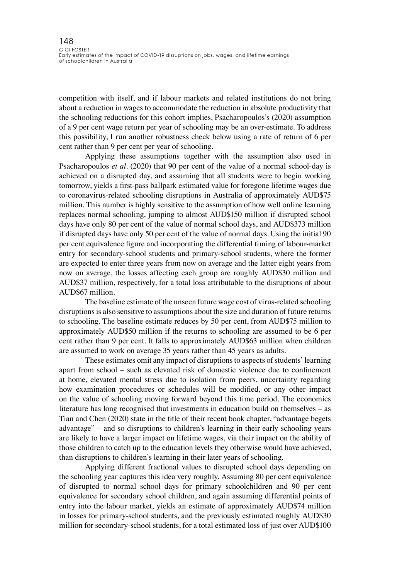competition with itself, and if labour markets and related institutions do not bring about a reduction in wages to accommodate the reduction in absolute productivity that the schooling reductions for this cohort implies, Psacharopoulos's (2020) assumption of a 9 per cent wage return per year of schooling may be an over-estimate. To address this possibility, I run another robustness check below using a rate of return of 6 per cent rather than 9 per cent per year of schooling.

Applying these assumptions together with the assumption also used in Psacharopoulos *et al*. (2020) that 90 per cent of the value of a normal school-day is achieved on a disrupted day, and assuming that all students were to begin working tomorrow, yields a first-pass ballpark estimated value for foregone lifetime wages due to coronavirus-related schooling disruptions in Australia of approximately AUD\$75 million. This number is highly sensitive to the assumption of how well online learning replaces normal schooling, jumping to almost AUD\$150 million if disrupted school days have only 80 per cent of the value of normal school days, and AUD\$373 million if disrupted days have only 50 per cent of the value of normal days. Using the initial 90 per cent equivalence figure and incorporating the differential timing of labour-market entry for secondary-school students and primary-school students, where the former are expected to enter three years from now on average and the latter eight years from now on average, the losses affecting each group are roughly AUD\$30 million and AUD\$37 million, respectively, for a total loss attributable to the disruptions of about AUD\$67 million.

The baseline estimate of the unseen future wage cost of virus-related schooling disruptions is also sensitive to assumptions about the size and duration of future returns to schooling. The baseline estimate reduces by 50 per cent, from AUD\$75 million to approximately AUD\$50 million if the returns to schooling are assumed to be 6 per cent rather than 9 per cent. It falls to approximately AUD\$63 million when children are assumed to work on average 35 years rather than 45 years as adults.

These estimates omit any impact of disruptions to aspects of students' learning apart from school – such as elevated risk of domestic violence due to confinement at home, elevated mental stress due to isolation from peers, uncertainty regarding how examination procedures or schedules will be modified, or any other impact on the value of schooling moving forward beyond this time period. The economics literature has long recognised that investments in education build on themselves – as Tian and Chen (2020) state in the title of their recent book chapter, "advantage begets advantage" – and so disruptions to children's learning in their early schooling years are likely to have a larger impact on lifetime wages, via their impact on the ability of those children to catch up to the education levels they otherwise would have achieved, than disruptions to children's learning in their later years of schooling.

Applying different fractional values to disrupted school days depending on the schooling year captures this idea very roughly. Assuming 80 per cent equivalence of disrupted to normal school days for primary schoolchildren and 90 per cent equivalence for secondary school children, and again assuming differential points of entry into the labour market, yields an estimate of approximately AUD\$74 million in losses for primary-school students, and the previously estimated roughly AUD\$30 million for secondary-school students, for a total estimated loss of just over AUD\$100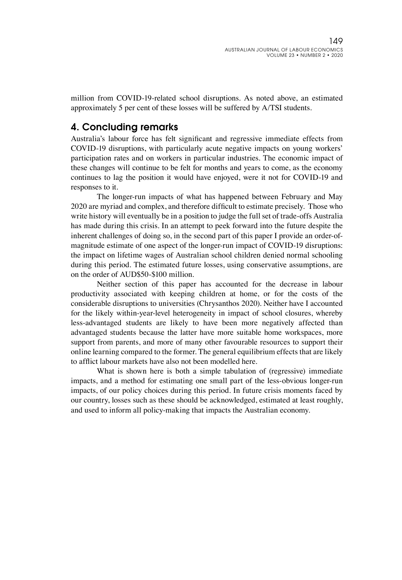million from COVID-19-related school disruptions. As noted above, an estimated approximately 5 per cent of these losses will be suffered by A/TSI students.

# 4. Concluding remarks

Australia's labour force has felt significant and regressive immediate effects from COVID-19 disruptions, with particularly acute negative impacts on young workers' participation rates and on workers in particular industries. The economic impact of these changes will continue to be felt for months and years to come, as the economy continues to lag the position it would have enjoyed, were it not for COVID-19 and responses to it.

The longer-run impacts of what has happened between February and May 2020 are myriad and complex, and therefore difficult to estimate precisely. Those who write history will eventually be in a position to judge the full set of trade-offs Australia has made during this crisis. In an attempt to peek forward into the future despite the inherent challenges of doing so, in the second part of this paper I provide an order-ofmagnitude estimate of one aspect of the longer-run impact of COVID-19 disruptions: the impact on lifetime wages of Australian school children denied normal schooling during this period. The estimated future losses, using conservative assumptions, are on the order of AUD\$50-\$100 million.

Neither section of this paper has accounted for the decrease in labour productivity associated with keeping children at home, or for the costs of the considerable disruptions to universities (Chrysanthos 2020). Neither have I accounted for the likely within-year-level heterogeneity in impact of school closures, whereby less-advantaged students are likely to have been more negatively affected than advantaged students because the latter have more suitable home workspaces, more support from parents, and more of many other favourable resources to support their online learning compared to the former. The general equilibrium effects that are likely to afflict labour markets have also not been modelled here.

What is shown here is both a simple tabulation of (regressive) immediate impacts, and a method for estimating one small part of the less-obvious longer-run impacts, of our policy choices during this period. In future crisis moments faced by our country, losses such as these should be acknowledged, estimated at least roughly, and used to inform all policy-making that impacts the Australian economy.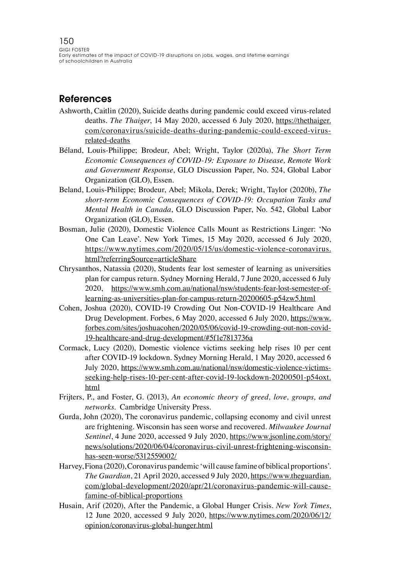### References

- Ashworth, Caitlin (2020), Suicide deaths during pandemic could exceed virus-related deaths. *The Thaiger*, 14 May 2020, accessed 6 July 2020, [https://thethaiger.](https://thethaiger.com/coronavirus/suicide-deaths-during-pandemic-could-exceed-virus-related-deaths) [com/coronavirus/suicide-deaths-during-pandemic-could-exceed-virus](https://thethaiger.com/coronavirus/suicide-deaths-during-pandemic-could-exceed-virus-related-deaths)[related-deaths](https://thethaiger.com/coronavirus/suicide-deaths-during-pandemic-could-exceed-virus-related-deaths)
- Béland, Louis-Philippe; Brodeur, Abel; Wright, Taylor (2020a), *The Short Term Economic Consequences of COVID-19: Exposure to Disease, Remote Work and Government Response*, GLO Discussion Paper, No. 524, Global Labor Organization (GLO), Essen.
- Beland, Louis-Philippe; Brodeur, Abel; Mikola, Derek; Wright, Taylor (2020b), *The short-term Economic Consequences of COVID-19: Occupation Tasks and Mental Health in Canada*, GLO Discussion Paper, No. 542, Global Labor Organization (GLO), Essen.
- Bosman, Julie (2020), Domestic Violence Calls Mount as Restrictions Linger: 'No One Can Leave'. New York Times, 15 May 2020, accessed 6 July 2020, [https://www.nytimes.com/2020/05/15/us/domestic-violence-coronavirus.](https://www.nytimes.com/2020/05/15/us/domestic-violence-coronavirus.html?referringSource=articleShar) [html?referringSource=articleShare](https://www.nytimes.com/2020/05/15/us/domestic-violence-coronavirus.html?referringSource=articleShar)
- Chrysanthos, Natassia (2020), Students fear lost semester of learning as universities plan for campus return. Sydney Morning Herald, 7 June 2020, accessed 6 July 2020, [https://www.smh.com.au/national/nsw/students-fear-lost-semester-of](https://www.smh.com.au/national/nsw/students-fear-lost-semester-of-learning-as-universities-plan-for-campus-return-20200605-p54zw5.html)[learning-as-universities-plan-for-campus-return-20200605-p54zw5.html](https://www.smh.com.au/national/nsw/students-fear-lost-semester-of-learning-as-universities-plan-for-campus-return-20200605-p54zw5.html)
- Cohen, Joshua (2020), COVID-19 Crowding Out Non-COVID-19 Healthcare And Drug Development. Forbes, 6 May 2020, accessed 6 July 2020, [https://www.](https://www.forbes.com/sites/joshuacohen/2020/05/06/covid-19-crowding-out-non-covid-19-healthcare-and-drug-development/#5f1e7813736a) [forbes.com/sites/joshuacohen/2020/05/06/covid-19-crowding-out-non-covid-](https://www.forbes.com/sites/joshuacohen/2020/05/06/covid-19-crowding-out-non-covid-19-healthcare-and-drug-development/#5f1e7813736a)[19-healthcare-and-drug-development/#5f1e7813736a](https://www.forbes.com/sites/joshuacohen/2020/05/06/covid-19-crowding-out-non-covid-19-healthcare-and-drug-development/#5f1e7813736a)
- Cormack, Lucy (2020), Domestic violence victims seeking help rises 10 per cent after COVID-19 lockdown. Sydney Morning Herald, 1 May 2020, accessed 6 July 2020, [https://www.smh.com.au/national/nsw/domestic-violence-victims](https://www.smh.com.au/national/nsw/domestic-violence-victims-seeking-help-rises-10-per-cent-after-covid-19-lockdown-20200501-p54oxt.html)[seeking-help-rises-10-per-cent-after-covid-19-lockdown-20200501-p54oxt.](https://www.smh.com.au/national/nsw/domestic-violence-victims-seeking-help-rises-10-per-cent-after-covid-19-lockdown-20200501-p54oxt.html) [html](https://www.smh.com.au/national/nsw/domestic-violence-victims-seeking-help-rises-10-per-cent-after-covid-19-lockdown-20200501-p54oxt.html)
- Frijters, P., and Foster, G. (2013), *An economic theory of greed, love, groups, and networks*. Cambridge University Press.
- Gurda, John (2020), The coronavirus pandemic, collapsing economy and civil unrest are frightening. Wisconsin has seen worse and recovered. *Milwaukee Journal Sentinel*, 4 June 2020, accessed 9 July 2020, [https://www.jsonline.com/story/](https://www.jsonline.com/story/news/solutions/2020/06/04/coronavirus-civil-unrest-frightening-wisconsin-has-seen-worse/5312559002/) [news/solutions/2020/06/04/coronavirus-civil-unrest-frightening-wisconsin](https://www.jsonline.com/story/news/solutions/2020/06/04/coronavirus-civil-unrest-frightening-wisconsin-has-seen-worse/5312559002/)[has-seen-worse/5312559002/](https://www.jsonline.com/story/news/solutions/2020/06/04/coronavirus-civil-unrest-frightening-wisconsin-has-seen-worse/5312559002/)
- Harvey, Fiona (2020), Coronavirus pandemic 'will cause famine of biblical proportions'. *The Guardian*, 21 April 2020, accessed 9 July 2020, [https://www.theguardian.](https://www.theguardian.com/global-development/2020/apr/21/coronavirus-pandemic-will-cause-famine-of-biblical-proportions) [com/global-development/2020/apr/21/coronavirus-pandemic-will-cause](https://www.theguardian.com/global-development/2020/apr/21/coronavirus-pandemic-will-cause-famine-of-biblical-proportions)[famine-of-biblical-proportions](https://www.theguardian.com/global-development/2020/apr/21/coronavirus-pandemic-will-cause-famine-of-biblical-proportions)
- Husain, Arif (2020), After the Pandemic, a Global Hunger Crisis. *New York Times*, 12 June 2020, accessed 9 July 2020, [https://www.nytimes.com/2020/06/12/](https://www.nytimes.com/2020/06/12/opinion/coronavirus-global-hunger.html) [opinion/coronavirus-global-hunger.html](https://www.nytimes.com/2020/06/12/opinion/coronavirus-global-hunger.html)